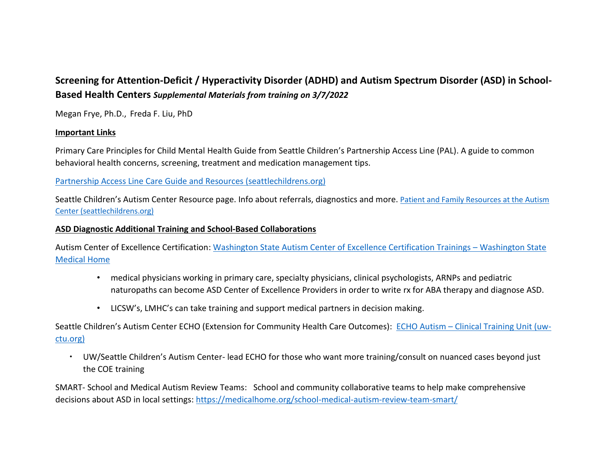# **Screening for Attention-Deficit / Hyperactivity Disorder (ADHD) and Autism Spectrum Disorder (ASD) in School-Based Health Centers** *Supplemental Materials from training on 3/7/2022*

Megan Frye, Ph.D., Freda F. Liu, PhD

### **Important Links**

Primary Care Principles for Child Mental Health Guide from Seattle Children's Partnership Access Line (PAL). A guide to common behavioral health concerns, screening, treatment and medication management tips.

## [Partnership Access Line Care Guide and Resources \(seattlechildrens.org\)](https://www.seattlechildrens.org/healthcare-professionals/access-services/partnership-access-line/resources/)

Seattle Children's Autism Center Resource page. Info about referrals, diagnostics and more. [Patient and Family Resources at the Autism](https://www.seattlechildrens.org/clinics/autism-center/patient-family-resources/)  [Center \(seattlechildrens.org\)](https://www.seattlechildrens.org/clinics/autism-center/patient-family-resources/)

#### **ASD Diagnostic Additional Training and School-Based Collaborations**

Autism Center of Excellence Certification: [Washington State Autism Center of Excellence Certification Trainings](https://medicalhome.org/event-home/autism-center-of-excellence-certification-trainings/) – Washington State [Medical Home](https://medicalhome.org/event-home/autism-center-of-excellence-certification-trainings/)

- medical physicians working in primary care, specialty physicians, clinical psychologists, ARNPs and pediatric naturopaths can become ASD Center of Excellence Providers in order to write rx for ABA therapy and diagnose ASD.
- LICSW's, LMHC's can take training and support medical partners in decision making.

Seattle Children's Autism Center ECHO (Extension for Community Health Care Outcomes): ECHO Autism – [Clinical Training Unit \(uw](https://uw-ctu.org/echo/echo-autism/)[ctu.org\)](https://uw-ctu.org/echo/echo-autism/)

 UW/Seattle Children's Autism Center- lead ECHO for those who want more training/consult on nuanced cases beyond just the COE training

SMART- School and Medical Autism Review Teams: School and community collaborative teams to help make comprehensive decisions about ASD in local settings[: https://medicalhome.org/school-medical-autism-review-team-smart/](https://medicalhome.org/school-medical-autism-review-team-smart/)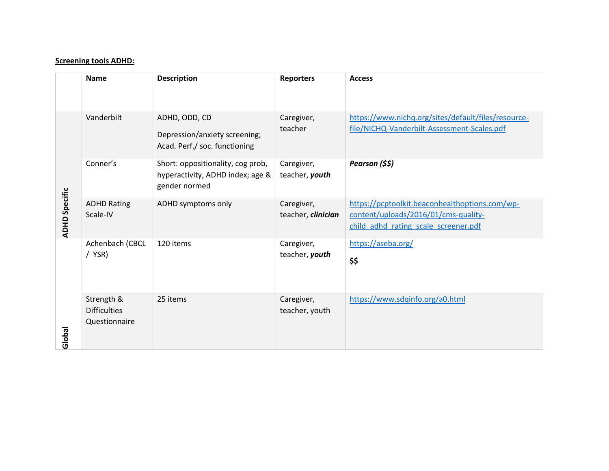#### **Screening tools ADHD:**

|                      | <b>Name</b>                                        | <b>Description</b>                                                                     | <b>Reporters</b>                 | <b>Access</b>                                                                                                                  |
|----------------------|----------------------------------------------------|----------------------------------------------------------------------------------------|----------------------------------|--------------------------------------------------------------------------------------------------------------------------------|
| <b>ADHD Specific</b> | Vanderbilt                                         | ADHD, ODD, CD<br>Depression/anxiety screening;<br>Acad. Perf./ soc. functioning        | Caregiver,<br>teacher            | https://www.nichq.org/sites/default/files/resource-<br>file/NICHQ-Vanderbilt-Assessment-Scales.pdf                             |
|                      | Conner's                                           | Short: oppositionality, cog prob,<br>hyperactivity, ADHD index; age &<br>gender normed | Caregiver,<br>teacher, youth     | Pearson (\$\$)                                                                                                                 |
|                      | <b>ADHD Rating</b><br>Scale-IV                     | ADHD symptoms only                                                                     | Caregiver,<br>teacher, clinician | https://pcptoolkit.beaconhealthoptions.com/wp-<br>content/uploads/2016/01/cms-quality-<br>child adhd rating scale screener.pdf |
| Global               | Achenbach (CBCL<br>/ YSR)                          | 120 items                                                                              | Caregiver,<br>teacher, youth     | https://aseba.org/<br>\$\$                                                                                                     |
|                      | Strength &<br><b>Difficulties</b><br>Questionnaire | 25 items                                                                               | Caregiver,<br>teacher, youth     | https://www.sdqinfo.org/a0.html                                                                                                |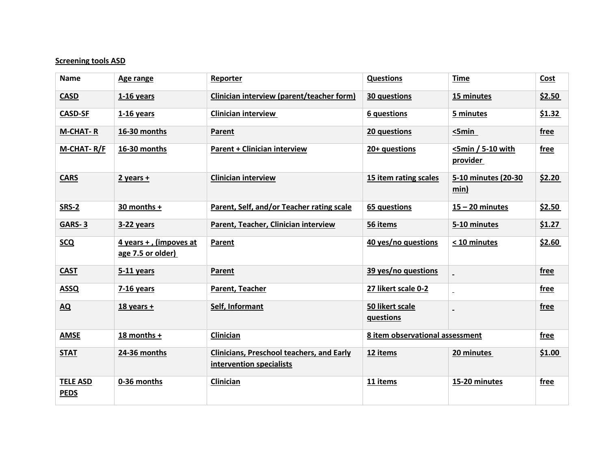#### **Screening tools ASD**

| <b>Name</b>                    | Age range                                   | Reporter                                                                     | <b>Questions</b>                | <b>Time</b>                      | Cost   |
|--------------------------------|---------------------------------------------|------------------------------------------------------------------------------|---------------------------------|----------------------------------|--------|
| <b>CASD</b>                    | 1-16 years                                  | Clinician interview (parent/teacher form)                                    | 30 questions                    | 15 minutes                       | \$2.50 |
| <b>CASD-SF</b>                 | $1-16$ years                                | <b>Clinician interview</b>                                                   | 6 questions                     | 5 minutes                        | \$1.32 |
| M-CHAT-R                       | 16-30 months                                | Parent                                                                       | 20 questions                    | 5min                             | free   |
| M-CHAT-R/F                     | 16-30 months                                | <b>Parent + Clinician interview</b>                                          | 20+ questions                   | $<$ 5min / 5-10 with<br>provider | free   |
| <b>CARS</b>                    | $2$ years +                                 | <b>Clinician interview</b>                                                   | 15 item rating scales           | 5-10 minutes (20-30<br>min)      | \$2.20 |
| SRS-2                          | 30 months +                                 | Parent, Self, and/or Teacher rating scale                                    | 65 questions                    | $15 - 20$ minutes                | \$2.50 |
| <b>GARS-3</b>                  | 3-22 years                                  | Parent, Teacher, Clinician interview                                         | 56 items                        | 5-10 minutes                     | \$1.27 |
| <b>SCQ</b>                     | 4 years +, (impoves at<br>age 7.5 or older) | Parent                                                                       | 40 yes/no questions             | < 10 minutes                     | \$2.60 |
| <b>CAST</b>                    | $5-11$ years                                | Parent                                                                       | 39 yes/no questions             |                                  | free   |
| <b>ASSQ</b>                    | 7-16 years                                  | Parent, Teacher                                                              | 27 likert scale 0-2             |                                  | free   |
| <b>AQ</b>                      | $18$ years +                                | Self, Informant                                                              | 50 likert scale<br>questions    |                                  | free   |
| <b>AMSE</b>                    | 18 months +                                 | Clinician                                                                    | 8 item observational assessment |                                  | free   |
| <b>STAT</b>                    | 24-36 months                                | <b>Clinicians, Preschool teachers, and Early</b><br>intervention specialists | 12 items                        | 20 minutes                       | \$1.00 |
| <b>TELE ASD</b><br><b>PEDS</b> | 0-36 months                                 | Clinician                                                                    | 11 items                        | 15-20 minutes                    | free   |